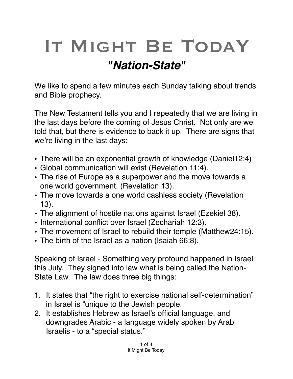## IT MIGHT BE TODAY *"Nation-State"*

We like to spend a few minutes each Sunday talking about trends and Bible prophecy.

The New Testament tells you and I repeatedly that we are living in the last days before the coming of Jesus Christ. Not only are we told that, but there is evidence to back it up. There are signs that we're living in the last days:

- There will be an exponential growth of knowledge (Daniel12:4)
- Global communication will exist (Revelation 11:4).
- The rise of Europe as a superpower and the move towards a one world government. (Revelation 13).
- The move towards a one world cashless society (Revelation 13).
- The alignment of hostile nations against Israel (Ezekiel 38).
- International conflict over Israel (Zechariah 12:3).
- The movement of Israel to rebuild their temple (Matthew24:15).
- The birth of the Israel as a nation (Isaiah 66:8).

Speaking of Israel - Something very profound happened in Israel this July. They signed into law what is being called the Nation-State Law. The law does three big things:

- 1. It states that "the right to exercise national self-determination" in Israel is "unique to the Jewish people.
- 2. It establishes Hebrew as Israel's official language, and downgrades Arabic - a language widely spoken by Arab Israelis - to a "special status."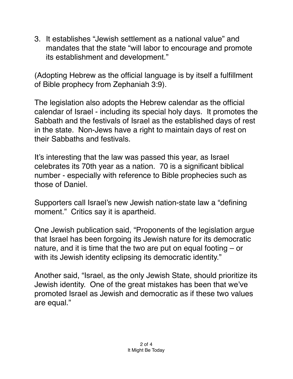3. It establishes "Jewish settlement as a national value" and mandates that the state "will labor to encourage and promote its establishment and development."

(Adopting Hebrew as the official language is by itself a fulfillment of Bible prophecy from Zephaniah 3:9).

The legislation also adopts the Hebrew calendar as the official calendar of Israel - including its special holy days. It promotes the Sabbath and the festivals of Israel as the established days of rest in the state. Non-Jews have a right to maintain days of rest on their Sabbaths and festivals.

It's interesting that the law was passed this year, as Israel celebrates its 70th year as a nation. 70 is a significant biblical number - especially with reference to Bible prophecies such as those of Daniel.

Supporters call Israel's new Jewish nation-state law a "defining moment." Critics say it is apartheid.

One Jewish publication said, "Proponents of the legislation argue that Israel has been forgoing its Jewish nature for its democratic nature, and it is time that the two are put on equal footing – or with its Jewish identity eclipsing its democratic identity."

Another said, "Israel, as the only Jewish State, should prioritize its Jewish identity. One of the great mistakes has been that we've promoted Israel as Jewish and democratic as if these two values are equal."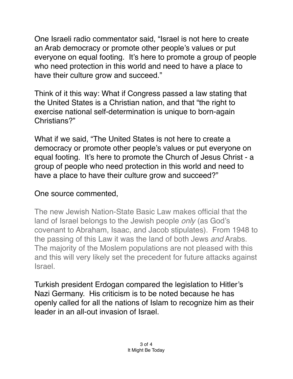One Israeli radio commentator said, "Israel is not here to create an [Arab democracy](https://www.breakingisraelnews.com/111053/the-end-of-the-democratic-dream-opinion/) or promote other people's values or put everyone on equal footing. It's here to promote a group of people who need protection in this world and need to have a place to have their culture grow and succeed."

Think of it this way: What if Congress passed a law stating that the United States is a Christian nation, and that "the right to exercise national self-determination is unique to born-again Christians?"

What if we said, "The United States is not here to create a democracy or promote other people's values or put everyone on equal footing. It's here to promote the Church of Jesus Christ - a group of people who need protection in this world and need to have a place to have their culture grow and succeed?"

## One source commented,

The new Jewish Nation-State Basic Law makes official that the land of Israel belongs to the Jewish people *only* (as God's covenant to Abraham, Isaac, and Jacob stipulates). From 1948 to the passing of this Law it was the land of both Jews *and* Arabs. The majority of the Moslem populations are not pleased with this and this will very likely set the precedent for future attacks against Israel.

Turkish president Erdogan compared the legislation to Hitler's Nazi Germany. His criticism is to be noted because he has openly called for all the nations of Islam to recognize him as their leader in an all-out invasion of Israel.